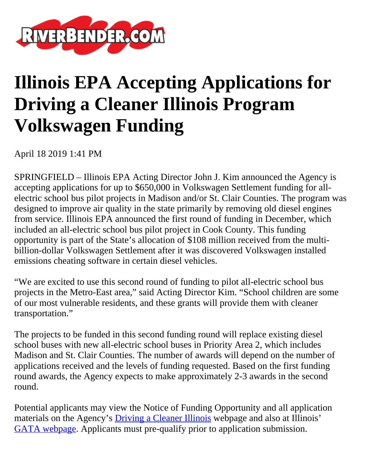

## **Illinois EPA Accepting Applications for Driving a Cleaner Illinois Program Volkswagen Funding**

April 18 2019 1:41 PM

SPRINGFIELD – Illinois EPA Acting Director John J. Kim announced the Agency is accepting applications for up to \$650,000 in Volkswagen Settlement funding for allelectric school bus pilot projects in Madison and/or St. Clair Counties. The program was designed to improve air quality in the state primarily by removing old diesel engines from service. Illinois EPA announced the first round of funding in December, which included an all-electric school bus pilot project in Cook County. This funding opportunity is part of the State's allocation of \$108 million received from the multibillion-dollar Volkswagen Settlement after it was discovered Volkswagen installed emissions cheating software in certain diesel vehicles.

"We are excited to use this second round of funding to pilot all-electric school bus projects in the Metro-East area," said Acting Director Kim. "School children are some of our most vulnerable residents, and these grants will provide them with cleaner transportation."

The projects to be funded in this second funding round will replace existing diesel school buses with new all-electric school buses in Priority Area 2, which includes Madison and St. Clair Counties. The number of awards will depend on the number of applications received and the levels of funding requested. Based on the first funding round awards, the Agency expects to make approximately 2-3 awards in the second round.

Potential applicants may view the Notice of Funding Opportunity and all application materials on the Agency's **[Driving a Cleaner Illinois](https://www2.illinois.gov/epa/topics/air-quality/driving-a-cleaner-illinois/Pages/default.aspx)** webpage and also at Illinois' [GATA webpage.](https://www2.illinois.gov/sites/GATA/Grants/SitePages/CSFA.aspx) Applicants must pre-qualify prior to application submission.